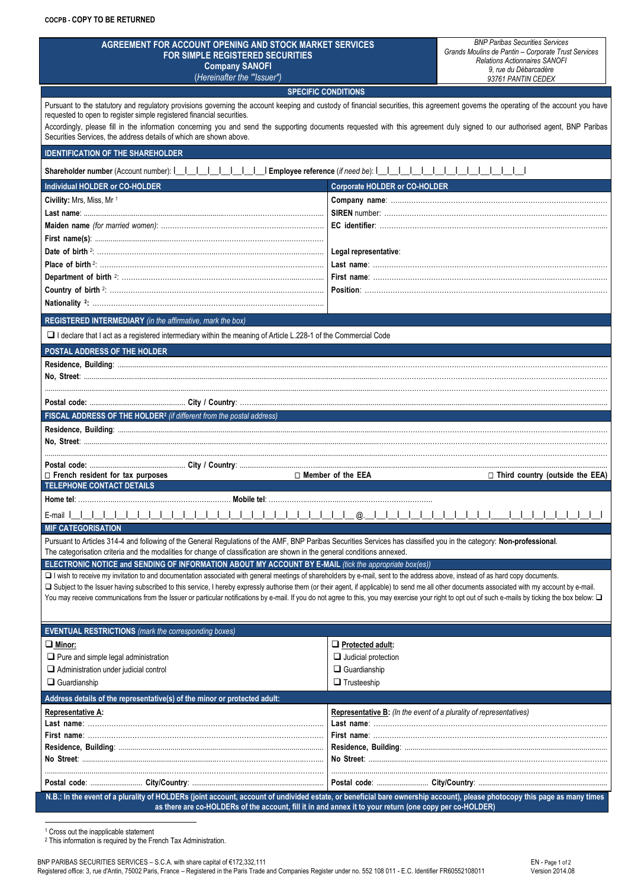| AGREEMENT FOR ACCOUNT OPENING AND STOCK MARKET SERVICES<br><b>FOR SIMPLE REGISTERED SECURITIES</b><br><b>Company SANOFI</b><br>(Hereinafter the "Issuer")                                                                                                                                                                  |                                                                    | <b>BNP Paribas Securities Services</b><br>Grands Moulins de Pantin - Corporate Trust Services<br><b>Relations Actionnaires SANOFI</b><br>9, rue du Débarcadère |  |  |
|----------------------------------------------------------------------------------------------------------------------------------------------------------------------------------------------------------------------------------------------------------------------------------------------------------------------------|--------------------------------------------------------------------|----------------------------------------------------------------------------------------------------------------------------------------------------------------|--|--|
|                                                                                                                                                                                                                                                                                                                            |                                                                    | 93761 PANTIN CEDEX                                                                                                                                             |  |  |
| Pursuant to the statutory and regulatory provisions governing the account keeping and custody of financial securities, this agreement governs the operating of the account you have                                                                                                                                        | <b>SPECIFIC CONDITIONS</b>                                         |                                                                                                                                                                |  |  |
| requested to open to register simple registered financial securities.<br>Accordingly, please fill in the information concerning you and send the supporting documents requested with this agreement duly signed to our authorised agent, BNP Paribas<br>Securities Services, the address details of which are shown above. |                                                                    |                                                                                                                                                                |  |  |
| <b>IDENTIFICATION OF THE SHAREHOLDER</b>                                                                                                                                                                                                                                                                                   |                                                                    |                                                                                                                                                                |  |  |
| Shareholder number (Account number):                   Employee reference (if need be):                                                                                                                                                                                                                                    |                                                                    |                                                                                                                                                                |  |  |
| Individual HOLDER or CO-HOLDER                                                                                                                                                                                                                                                                                             | <b>Corporate HOLDER or CO-HOLDER</b>                               |                                                                                                                                                                |  |  |
| Civility: Mrs, Miss, Mr 1                                                                                                                                                                                                                                                                                                  |                                                                    |                                                                                                                                                                |  |  |
|                                                                                                                                                                                                                                                                                                                            |                                                                    |                                                                                                                                                                |  |  |
|                                                                                                                                                                                                                                                                                                                            |                                                                    |                                                                                                                                                                |  |  |
|                                                                                                                                                                                                                                                                                                                            |                                                                    |                                                                                                                                                                |  |  |
|                                                                                                                                                                                                                                                                                                                            | Legal representative:                                              |                                                                                                                                                                |  |  |
|                                                                                                                                                                                                                                                                                                                            |                                                                    |                                                                                                                                                                |  |  |
|                                                                                                                                                                                                                                                                                                                            |                                                                    |                                                                                                                                                                |  |  |
|                                                                                                                                                                                                                                                                                                                            |                                                                    |                                                                                                                                                                |  |  |
| REGISTERED INTERMEDIARY (in the affirmative, mark the box)                                                                                                                                                                                                                                                                 |                                                                    |                                                                                                                                                                |  |  |
| □ I declare that I act as a registered intermediary within the meaning of Article L.228-1 of the Commercial Code                                                                                                                                                                                                           |                                                                    |                                                                                                                                                                |  |  |
| POSTAL ADDRESS OF THE HOLDER                                                                                                                                                                                                                                                                                               |                                                                    |                                                                                                                                                                |  |  |
|                                                                                                                                                                                                                                                                                                                            |                                                                    |                                                                                                                                                                |  |  |
|                                                                                                                                                                                                                                                                                                                            |                                                                    |                                                                                                                                                                |  |  |
|                                                                                                                                                                                                                                                                                                                            |                                                                    |                                                                                                                                                                |  |  |
|                                                                                                                                                                                                                                                                                                                            |                                                                    |                                                                                                                                                                |  |  |
| FISCAL ADDRESS OF THE HOLDER <sup>2</sup> (if different from the postal address)                                                                                                                                                                                                                                           |                                                                    |                                                                                                                                                                |  |  |
|                                                                                                                                                                                                                                                                                                                            |                                                                    |                                                                                                                                                                |  |  |
|                                                                                                                                                                                                                                                                                                                            |                                                                    |                                                                                                                                                                |  |  |
|                                                                                                                                                                                                                                                                                                                            |                                                                    |                                                                                                                                                                |  |  |
| $\Box$ French resident for tax purposes                                                                                                                                                                                                                                                                                    | □ Member of the EEA                                                | $\Box$ Third country (outside the EEA)                                                                                                                         |  |  |
| TELEPHONE CONTACT DETAILS                                                                                                                                                                                                                                                                                                  |                                                                    |                                                                                                                                                                |  |  |
| E-mail I                                                                                                                                                                                                                                                                                                                   |                                                                    |                                                                                                                                                                |  |  |
| <b>MIF CATEGORISATION</b>                                                                                                                                                                                                                                                                                                  | @.                                                                 |                                                                                                                                                                |  |  |
| Pursuant to Articles 314-4 and following of the General Regulations of the AMF, BNP Paribas Securities Services has classified you in the category: Non-professional.<br>The categorisation criteria and the modalities for change of classification are shown in the general conditions annexed.                          |                                                                    |                                                                                                                                                                |  |  |
| ELECTRONIC NOTICE and SENDING OF INFORMATION ABOUT MY ACCOUNT BY E-MAIL (tick the appropriate box(es))                                                                                                                                                                                                                     |                                                                    |                                                                                                                                                                |  |  |
| I wish to receive my invitation to and documentation associated with general meetings of shareholders by e-mail, sent to the address above, instead of as hard copy documents.                                                                                                                                             |                                                                    |                                                                                                                                                                |  |  |
| □ Subject to the Issuer having subscribed to this service, I hereby expressly authorise them (or their agent, if applicable) to send me all other documents associated with my account by e-mail.                                                                                                                          |                                                                    |                                                                                                                                                                |  |  |
| You may receive communications from the Issuer or particular notifications by e-mail. If you do not agree to this, you may exercise your right to opt out of such e-mails by ticking the box below: $\square$                                                                                                              |                                                                    |                                                                                                                                                                |  |  |
|                                                                                                                                                                                                                                                                                                                            |                                                                    |                                                                                                                                                                |  |  |
| <b>EVENTUAL RESTRICTIONS</b> (mark the corresponding boxes)                                                                                                                                                                                                                                                                |                                                                    |                                                                                                                                                                |  |  |
|                                                                                                                                                                                                                                                                                                                            |                                                                    |                                                                                                                                                                |  |  |
| $\Box$ Minor:                                                                                                                                                                                                                                                                                                              | Protected adult:                                                   |                                                                                                                                                                |  |  |
| $\Box$ Pure and simple legal administration                                                                                                                                                                                                                                                                                | $\Box$ Judicial protection                                         |                                                                                                                                                                |  |  |
| Administration under judicial control                                                                                                                                                                                                                                                                                      | $\Box$ Guardianship                                                |                                                                                                                                                                |  |  |
| $\Box$ Guardianship                                                                                                                                                                                                                                                                                                        | $\Box$ Trusteeship                                                 |                                                                                                                                                                |  |  |
| Address details of the representative(s) of the minor or protected adult:                                                                                                                                                                                                                                                  |                                                                    |                                                                                                                                                                |  |  |
| <b>Representative A:</b>                                                                                                                                                                                                                                                                                                   | Representative B: (In the event of a plurality of representatives) |                                                                                                                                                                |  |  |
|                                                                                                                                                                                                                                                                                                                            |                                                                    |                                                                                                                                                                |  |  |
|                                                                                                                                                                                                                                                                                                                            |                                                                    |                                                                                                                                                                |  |  |
|                                                                                                                                                                                                                                                                                                                            |                                                                    |                                                                                                                                                                |  |  |
|                                                                                                                                                                                                                                                                                                                            |                                                                    |                                                                                                                                                                |  |  |
| N.B.: In the event of a plurality of HOLDERs (joint account, account of undivided estate, or beneficial bare ownership account), please photocopy this page as many times                                                                                                                                                  |                                                                    |                                                                                                                                                                |  |  |

<sup>2</sup> This information is required by the French Tax Administration.

<sup>1</sup> Cross out the inapplicable statement